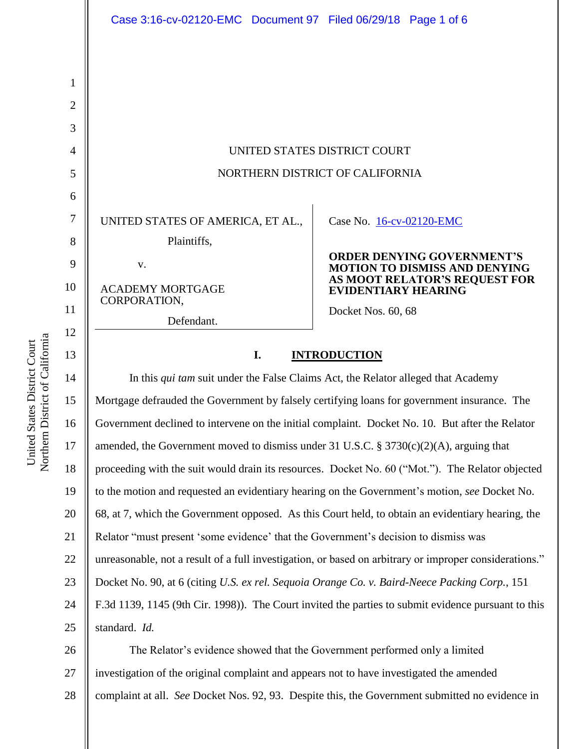|                | Case 3:16-cv-02120-EMC Document 97 Filed 06/29/18 Page 1 of 6 |                                                                           |
|----------------|---------------------------------------------------------------|---------------------------------------------------------------------------|
|                |                                                               |                                                                           |
| 1              |                                                               |                                                                           |
| $\overline{2}$ |                                                               |                                                                           |
| 3              |                                                               |                                                                           |
| $\overline{4}$ | UNITED STATES DISTRICT COURT                                  |                                                                           |
| 5              | NORTHERN DISTRICT OF CALIFORNIA                               |                                                                           |
| 6              |                                                               |                                                                           |
| 7              | UNITED STATES OF AMERICA, ET AL.,                             | Case No. 16-cv-02120-EMC                                                  |
| 8              | Plaintiffs,                                                   |                                                                           |
| 9              | V.                                                            | <b>ORDER DENYING GOVERNMENT'S</b><br><b>MOTION TO DISMISS AND DENYING</b> |
| 10             | <b>ACADEMY MORTGAGE</b><br>CORPORATION,                       | AS MOOT RELATOR'S REQUEST FOR<br><b>EVIDENTIARY HEARING</b>               |
| 11             | Defendant.                                                    | Docket Nos. 60, 68                                                        |
| 12<br>13       | <b>INTRODUCTION</b><br>I.                                     |                                                                           |

14 15 16 17 18 19 20 21 22 23 24 25 In this *qui tam* suit under the False Claims Act, the Relator alleged that Academy Mortgage defrauded the Government by falsely certifying loans for government insurance. The Government declined to intervene on the initial complaint. Docket No. 10. But after the Relator amended, the Government moved to dismiss under 31 U.S.C. § 3730(c)(2)(A), arguing that proceeding with the suit would drain its resources. Docket No. 60 ("Mot."). The Relator objected to the motion and requested an evidentiary hearing on the Government"s motion, *see* Docket No. 68, at 7, which the Government opposed. As this Court held, to obtain an evidentiary hearing, the Relator "must present 'some evidence' that the Government's decision to dismiss was unreasonable, not a result of a full investigation, or based on arbitrary or improper considerations." Docket No. 90, at 6 (citing *U.S. ex rel. Sequoia Orange Co. v. Baird-Neece Packing Corp.*, 151 F.3d 1139, 1145 (9th Cir. 1998)). The Court invited the parties to submit evidence pursuant to this standard. *Id.*

26 27 28 The Relator's evidence showed that the Government performed only a limited investigation of the original complaint and appears not to have investigated the amended complaint at all. *See* Docket Nos. 92, 93. Despite this, the Government submitted no evidence in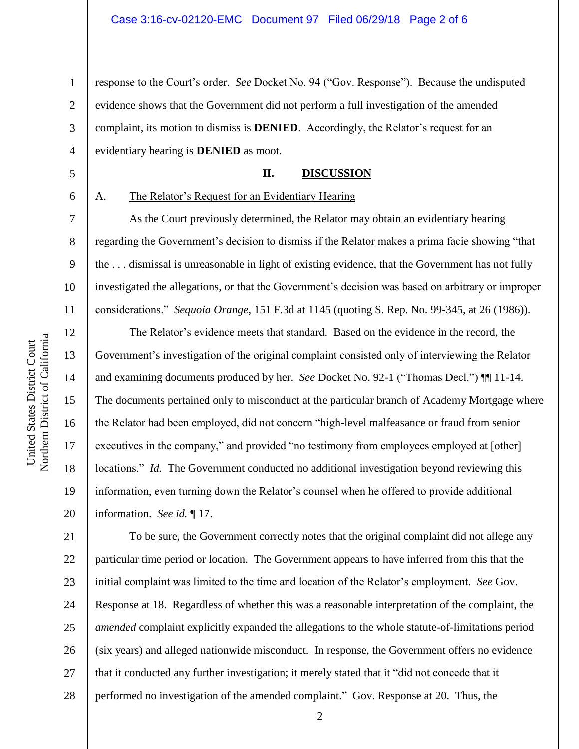1 2 3 4 response to the Court"s order. *See* Docket No. 94 ("Gov. Response"). Because the undisputed evidence shows that the Government did not perform a full investigation of the amended complaint, its motion to dismiss is **DENIED**. Accordingly, the Relator's request for an evidentiary hearing is **DENIED** as moot.

# **II. DISCUSSION**

6

5

7

8

9

10

11

12

13

14

15

16

17

18

19

20

# A. The Relator"s Request for an Evidentiary Hearing

As the Court previously determined, the Relator may obtain an evidentiary hearing regarding the Government"s decision to dismiss if the Relator makes a prima facie showing "that the . . . dismissal is unreasonable in light of existing evidence, that the Government has not fully investigated the allegations, or that the Government"s decision was based on arbitrary or improper considerations." *Sequoia Orange*, 151 F.3d at 1145 (quoting S. Rep. No. 99-345, at 26 (1986)).

The Relator's evidence meets that standard. Based on the evidence in the record, the Government's investigation of the original complaint consisted only of interviewing the Relator and examining documents produced by her. *See* Docket No. 92-1 ("Thomas Decl.") ¶¶ 11-14. The documents pertained only to misconduct at the particular branch of Academy Mortgage where the Relator had been employed, did not concern "high-level malfeasance or fraud from senior executives in the company," and provided "no testimony from employees employed at [other] locations." *Id.* The Government conducted no additional investigation beyond reviewing this information, even turning down the Relator's counsel when he offered to provide additional information. *See id.* ¶ 17.

21 22 23 24 25 26 27 28 To be sure, the Government correctly notes that the original complaint did not allege any particular time period or location. The Government appears to have inferred from this that the initial complaint was limited to the time and location of the Relator's employment. *See* Gov. Response at 18. Regardless of whether this was a reasonable interpretation of the complaint, the *amended* complaint explicitly expanded the allegations to the whole statute-of-limitations period (six years) and alleged nationwide misconduct. In response, the Government offers no evidence that it conducted any further investigation; it merely stated that it "did not concede that it performed no investigation of the amended complaint." Gov. Response at 20. Thus, the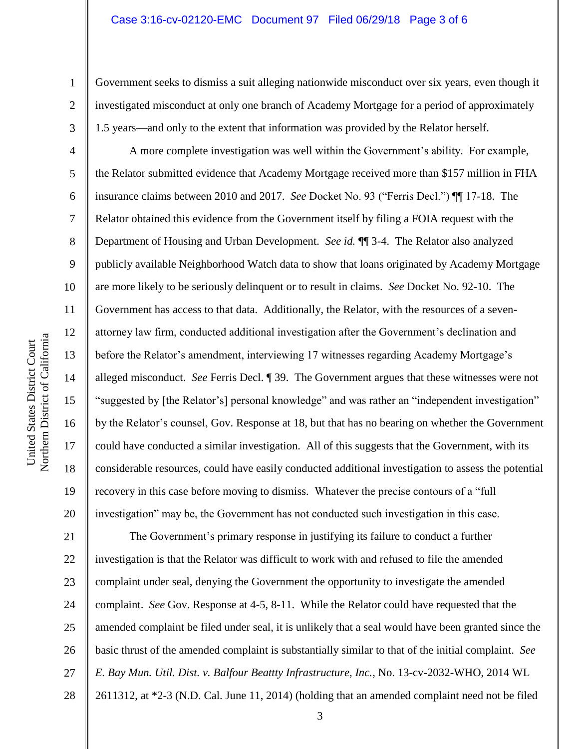### Case 3:16-cv-02120-EMC Document 97 Filed 06/29/18 Page 3 of 6

Government seeks to dismiss a suit alleging nationwide misconduct over six years, even though it investigated misconduct at only one branch of Academy Mortgage for a period of approximately 1.5 years—and only to the extent that information was provided by the Relator herself.

A more complete investigation was well within the Government's ability. For example, the Relator submitted evidence that Academy Mortgage received more than \$157 million in FHA insurance claims between 2010 and 2017. *See* Docket No. 93 ("Ferris Decl.") ¶¶ 17-18. The Relator obtained this evidence from the Government itself by filing a FOIA request with the Department of Housing and Urban Development. *See id.* ¶¶ 3-4. The Relator also analyzed publicly available Neighborhood Watch data to show that loans originated by Academy Mortgage are more likely to be seriously delinquent or to result in claims. *See* Docket No. 92-10. The Government has access to that data. Additionally, the Relator, with the resources of a sevenattorney law firm, conducted additional investigation after the Government"s declination and before the Relator's amendment, interviewing 17 witnesses regarding Academy Mortgage's alleged misconduct. *See* Ferris Decl. ¶ 39. The Government argues that these witnesses were not "suggested by [the Relator's] personal knowledge" and was rather an "independent investigation" by the Relator"s counsel, Gov. Response at 18, but that has no bearing on whether the Government could have conducted a similar investigation. All of this suggests that the Government, with its considerable resources, could have easily conducted additional investigation to assess the potential recovery in this case before moving to dismiss. Whatever the precise contours of a "full investigation" may be, the Government has not conducted such investigation in this case.

21 22 23 24 25 26 27 28 The Government"s primary response in justifying its failure to conduct a further investigation is that the Relator was difficult to work with and refused to file the amended complaint under seal, denying the Government the opportunity to investigate the amended complaint. *See* Gov. Response at 4-5, 8-11. While the Relator could have requested that the amended complaint be filed under seal, it is unlikely that a seal would have been granted since the basic thrust of the amended complaint is substantially similar to that of the initial complaint. *See E. Bay Mun. Util. Dist. v. Balfour Beattty Infrastructure, Inc.*, No. 13-cv-2032-WHO, 2014 WL 2611312, at \*2-3 (N.D. Cal. June 11, 2014) (holding that an amended complaint need not be filed

1

2

3

4

5

6

7

8

9

10

11

12

13

14

15

16

17

18

19

20

3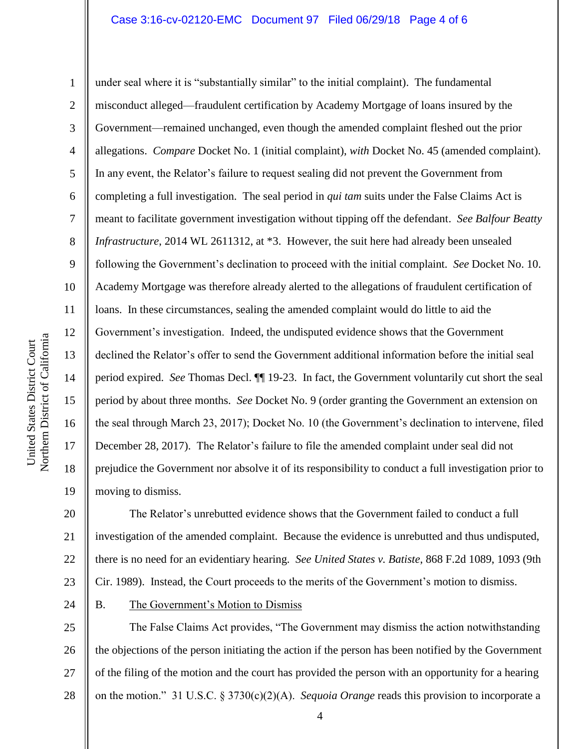### Case 3:16-cv-02120-EMC Document 97 Filed 06/29/18 Page 4 of 6

Northern District of California Northern District of California United States District Court

United States District Court

24

1 2 3 4 5 6 7 8 9 10 11 12 13 14 15 16 17 18 19 under seal where it is "substantially similar" to the initial complaint). The fundamental misconduct alleged—fraudulent certification by Academy Mortgage of loans insured by the Government—remained unchanged, even though the amended complaint fleshed out the prior allegations. *Compare* Docket No. 1 (initial complaint), *with* Docket No. 45 (amended complaint). In any event, the Relator"s failure to request sealing did not prevent the Government from completing a full investigation. The seal period in *qui tam* suits under the False Claims Act is meant to facilitate government investigation without tipping off the defendant. *See Balfour Beatty Infrastructure*, 2014 WL 2611312, at \*3. However, the suit here had already been unsealed following the Government's declination to proceed with the initial complaint. *See* Docket No. 10. Academy Mortgage was therefore already alerted to the allegations of fraudulent certification of loans. In these circumstances, sealing the amended complaint would do little to aid the Government's investigation. Indeed, the undisputed evidence shows that the Government declined the Relator"s offer to send the Government additional information before the initial seal period expired. *See* Thomas Decl. ¶¶ 19-23. In fact, the Government voluntarily cut short the seal period by about three months. *See* Docket No. 9 (order granting the Government an extension on the seal through March 23, 2017); Docket No. 10 (the Government"s declination to intervene, filed December 28, 2017). The Relator's failure to file the amended complaint under seal did not prejudice the Government nor absolve it of its responsibility to conduct a full investigation prior to moving to dismiss.

20 21 22 23 The Relator"s unrebutted evidence shows that the Government failed to conduct a full investigation of the amended complaint. Because the evidence is unrebutted and thus undisputed, there is no need for an evidentiary hearing. *See United States v. Batiste*, 868 F.2d 1089, 1093 (9th Cir. 1989). Instead, the Court proceeds to the merits of the Government"s motion to dismiss.

B. The Government"s Motion to Dismiss

25 26 27 28 The False Claims Act provides, "The Government may dismiss the action notwithstanding the objections of the person initiating the action if the person has been notified by the Government of the filing of the motion and the court has provided the person with an opportunity for a hearing on the motion." 31 U.S.C. § 3730(c)(2)(A). *Sequoia Orange* reads this provision to incorporate a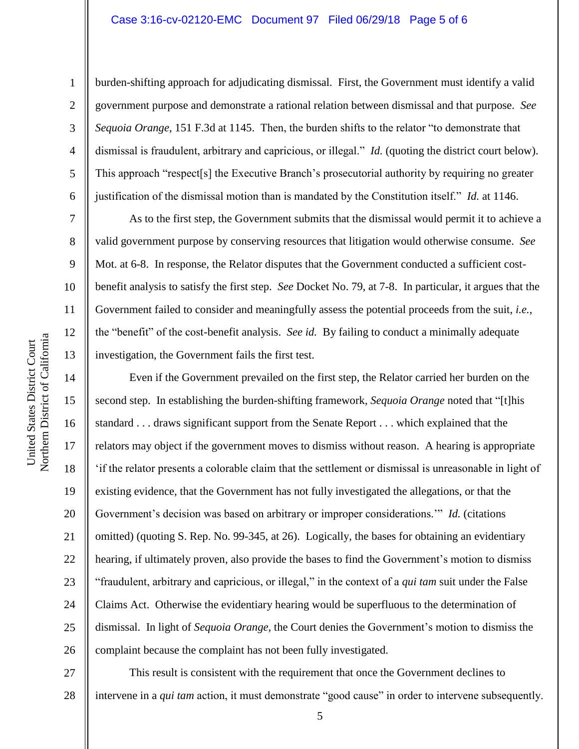### Case 3:16-cv-02120-EMC Document 97 Filed 06/29/18 Page 5 of 6

1

2

3

4

5

6

7

8

9

burden-shifting approach for adjudicating dismissal. First, the Government must identify a valid government purpose and demonstrate a rational relation between dismissal and that purpose. *See Sequoia Orange*, 151 F.3d at 1145. Then, the burden shifts to the relator "to demonstrate that dismissal is fraudulent, arbitrary and capricious, or illegal." *Id.* (quoting the district court below). This approach "respect[s] the Executive Branch"s prosecutorial authority by requiring no greater justification of the dismissal motion than is mandated by the Constitution itself." *Id.* at 1146.

As to the first step, the Government submits that the dismissal would permit it to achieve a valid government purpose by conserving resources that litigation would otherwise consume. *See*  Mot. at 6-8. In response, the Relator disputes that the Government conducted a sufficient costbenefit analysis to satisfy the first step. *See* Docket No. 79, at 7-8. In particular, it argues that the Government failed to consider and meaningfully assess the potential proceeds from the suit, *i.e.*, the "benefit" of the cost-benefit analysis. *See id.* By failing to conduct a minimally adequate investigation, the Government fails the first test.

Even if the Government prevailed on the first step, the Relator carried her burden on the second step. In establishing the burden-shifting framework, *Sequoia Orange* noted that "[t]his standard . . . draws significant support from the Senate Report . . . which explained that the relators may object if the government moves to dismiss without reason. A hearing is appropriate "if the relator presents a colorable claim that the settlement or dismissal is unreasonable in light of existing evidence, that the Government has not fully investigated the allegations, or that the Government's decision was based on arbitrary or improper considerations."" *Id.* (citations omitted) (quoting S. Rep. No. 99-345, at 26). Logically, the bases for obtaining an evidentiary hearing, if ultimately proven, also provide the bases to find the Government's motion to dismiss "fraudulent, arbitrary and capricious, or illegal," in the context of a *qui tam* suit under the False Claims Act. Otherwise the evidentiary hearing would be superfluous to the determination of dismissal. In light of *Sequoia Orange*, the Court denies the Government's motion to dismiss the complaint because the complaint has not been fully investigated.

27 28 This result is consistent with the requirement that once the Government declines to intervene in a *qui tam* action, it must demonstrate "good cause" in order to intervene subsequently.

16

17

18

19

20

21

22

23

24

25

26

5